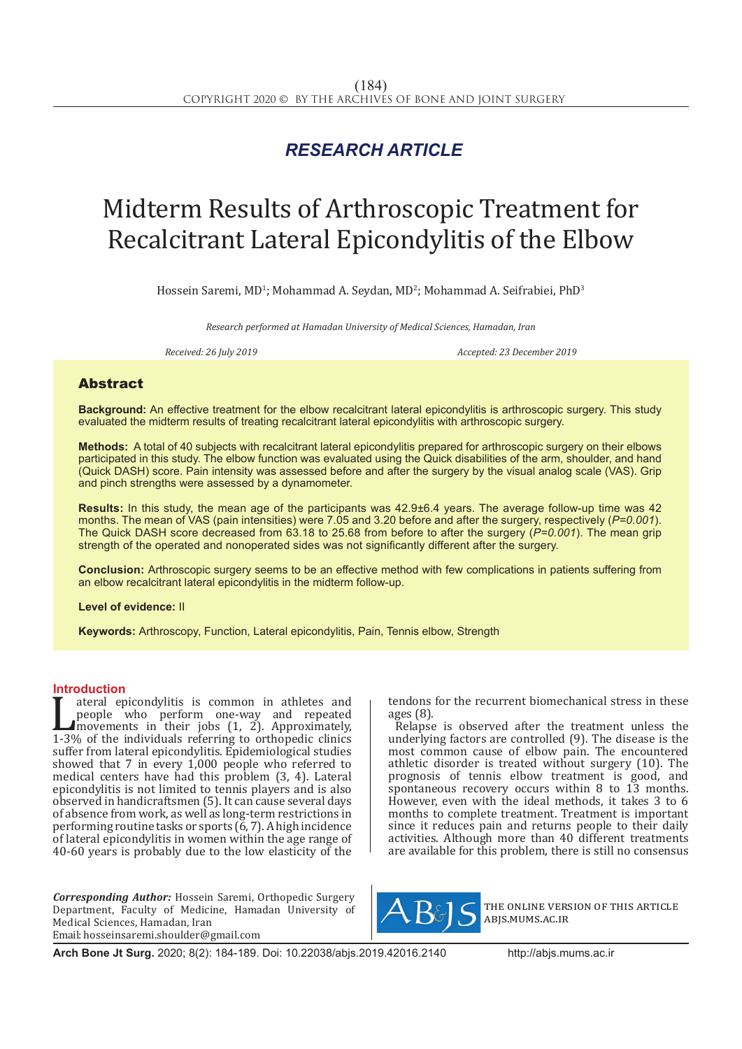## *RESEARCH ARTICLE*

# Midterm Results of Arthroscopic Treatment for Recalcitrant Lateral Epicondylitis of the Elbow

Hossein Saremi, MD<sup>1</sup>; Mohammad A. Seydan, MD<sup>2</sup>; Mohammad A. Seifrabiei, PhD<sup>3</sup>

*Research performed at Hamadan University of Medical Sciences, Hamadan, Iran*

*Received: 26 July 2019 Accepted: 23 December 2019*

### Abstract

**Background:** An effective treatment for the elbow recalcitrant lateral epicondylitis is arthroscopic surgery. This study evaluated the midterm results of treating recalcitrant lateral epicondylitis with arthroscopic surgery.

**Methods:** A total of 40 subjects with recalcitrant lateral epicondylitis prepared for arthroscopic surgery on their elbows participated in this study. The elbow function was evaluated using the Quick disabilities of the arm, shoulder, and hand (Quick DASH) score. Pain intensity was assessed before and after the surgery by the visual analog scale (VAS). Grip and pinch strengths were assessed by a dynamometer.

**Results:** In this study, the mean age of the participants was 42.9±6.4 years. The average follow-up time was 42 months. The mean of VAS (pain intensities) were 7.05 and 3.20 before and after the surgery, respectively (*P=0.001*). The Quick DASH score decreased from 63.18 to 25.68 from before to after the surgery (*P=0.001*). The mean grip strength of the operated and nonoperated sides was not significantly different after the surgery.

**Conclusion:** Arthroscopic surgery seems to be an effective method with few complications in patients suffering from an elbow recalcitrant lateral epicondylitis in the midterm follow-up.

**Level of evidence:** II

**Keywords:** Arthroscopy, Function, Lateral epicondylitis, Pain, Tennis elbow, Strength

**Introduction**<br>**T** ateral epicondylitis is common in athletes and ateral epicondylitis is common in athletes and<br>people who perform one-way and repeated<br>movements in their jobs (1, 2). Approximately,<br>1-3% of the individuals referring to orthopedic clinics<br>suffer from lateral epicondyliti people who perform one-way and repeated movements in their jobs (1, 2). Approximately, 1-3% of the individuals referring to orthopedic clinics suffer from lateral epicondylitis. Epidemiological studies showed that 7 in every 1,000 people who referred to medical centers have had this problem (3, 4). Lateral epicondylitis is not limited to tennis players and is also observed in handicraftsmen (5). It can cause several days of absence from work, as well as long-term restrictions in performing routine tasks or sports (6, 7). A high incidence of lateral epicondylitis in women within the age range of 40-60 years is probably due to the low elasticity of the

*Corresponding Author:* Hossein Saremi, Orthopedic Surgery Department, Faculty of Medicine, Hamadan University of Medical Sciences, Hamadan, Iran Email: hosseinsaremi.shoulder@gmail.com

tendons for the recurrent biomechanical stress in these ages (8).

Relapse is observed after the treatment unless the underlying factors are controlled (9). The disease is the most common cause of elbow pain. The encountered athletic disorder is treated without surgery (10). The prognosis of tennis elbow treatment is good, and spontaneous recovery occurs within 8 to 13 months. However, even with the ideal methods, it takes 3 to 6 months to complete treatment. Treatment is important since it reduces pain and returns people to their daily activities. Although more than 40 different treatments are available for this problem, there is still no consensus



the online version of this article abjs.mums.ac.ir

**Arch Bone Jt Surg.** 2020; 8(2): 184-189. Doi: 10.22038/abjs.2019.42016.2140 http://abjs.mums.ac.ir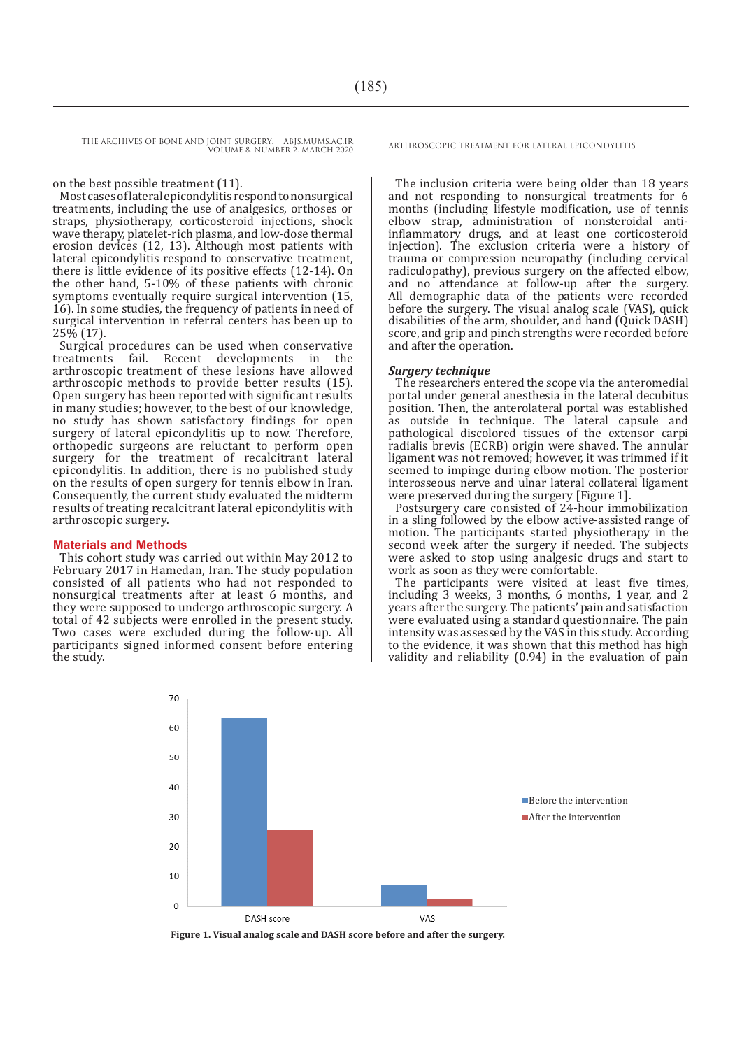THE ARCHIVES OF BONE AND JOINT SURGERY. ABJS.MUMS.AC.IR ARTHROSCOPIC TREATMENT FOR LATERAL EPICONDYLITIS VOLUME 8. NUMBER 2. MARCH 2020

on the best possible treatment (11).

Most cases of lateral epicondylitis respond to nonsurgical treatments, including the use of analgesics, orthoses or straps, physiotherapy, corticosteroid injections, shock wave therapy, platelet-rich plasma, and low-dose thermal erosion devices (12, 13). Although most patients with lateral epicondylitis respond to conservative treatment, there is little evidence of its positive effects (12-14). On the other hand, 5-10% of these patients with chronic symptoms eventually require surgical intervention (15, 16). In some studies, the frequency of patients in need of surgical intervention in referral centers has been up to 25% (17).

Surgical procedures can be used when conservative treatments fail. Recent developments in the arthroscopic treatment of these lesions have allowed arthroscopic methods to provide better results (15). Open surgery has been reported with significant results in many studies; however, to the best of our knowledge, no study has shown satisfactory findings for open surgery of lateral epicondylitis up to now. Therefore, orthopedic surgeons are reluctant to perform open surgery for the treatment of recalcitrant lateral epicondylitis. In addition, there is no published study on the results of open surgery for tennis elbow in Iran. Consequently, the current study evaluated the midterm results of treating recalcitrant lateral epicondylitis with arthroscopic surgery.

#### **Materials and Methods**

This cohort study was carried out within May 2012 to February 2017 in Hamedan, Iran. The study population consisted of all patients who had not responded to nonsurgical treatments after at least 6 months, and they were supposed to undergo arthroscopic surgery. A total of 42 subjects were enrolled in the present study. Two cases were excluded during the follow-up. All participants signed informed consent before entering the study.

The inclusion criteria were being older than 18 years and not responding to nonsurgical treatments for 6 months (including lifestyle modification, use of tennis elbow strap, administration of nonsteroidal antiinflammatory drugs, and at least one corticosteroid injection). The exclusion criteria were a history of trauma or compression neuropathy (including cervical radiculopathy), previous surgery on the affected elbow, and no attendance at follow-up after the surgery. All demographic data of the patients were recorded before the surgery. The visual analog scale (VAS), quick disabilities of the arm, shoulder, and hand (Quick DASH) score, and grip and pinch strengths were recorded before and after the operation.

#### *Surgery technique*

The researchers entered the scope via the anteromedial portal under general anesthesia in the lateral decubitus position. Then, the anterolateral portal was established as outside in technique. The lateral capsule and pathological discolored tissues of the extensor carpi radialis brevis (ECRB) origin were shaved. The annular ligament was not removed; however, it was trimmed if it seemed to impinge during elbow motion. The posterior interosseous nerve and ulnar lateral collateral ligament were preserved during the surgery [Figure 1].

Postsurgery care consisted of 24-hour immobilization in a sling followed by the elbow active-assisted range of motion. The participants started physiotherapy in the second week after the surgery if needed. The subjects were asked to stop using analgesic drugs and start to work as soon as they were comfortable.

The participants were visited at least five times, including 3 weeks, 3 months, 6 months, 1 year, and 2 years after the surgery. The patients' pain and satisfaction were evaluated using a standard questionnaire. The pain intensity was assessed by the VAS in this study. According to the evidence, it was shown that this method has high validity and reliability (0.94) in the evaluation of pain



**Figure 1. Visual analog scale and DASH score before and after the surgery.**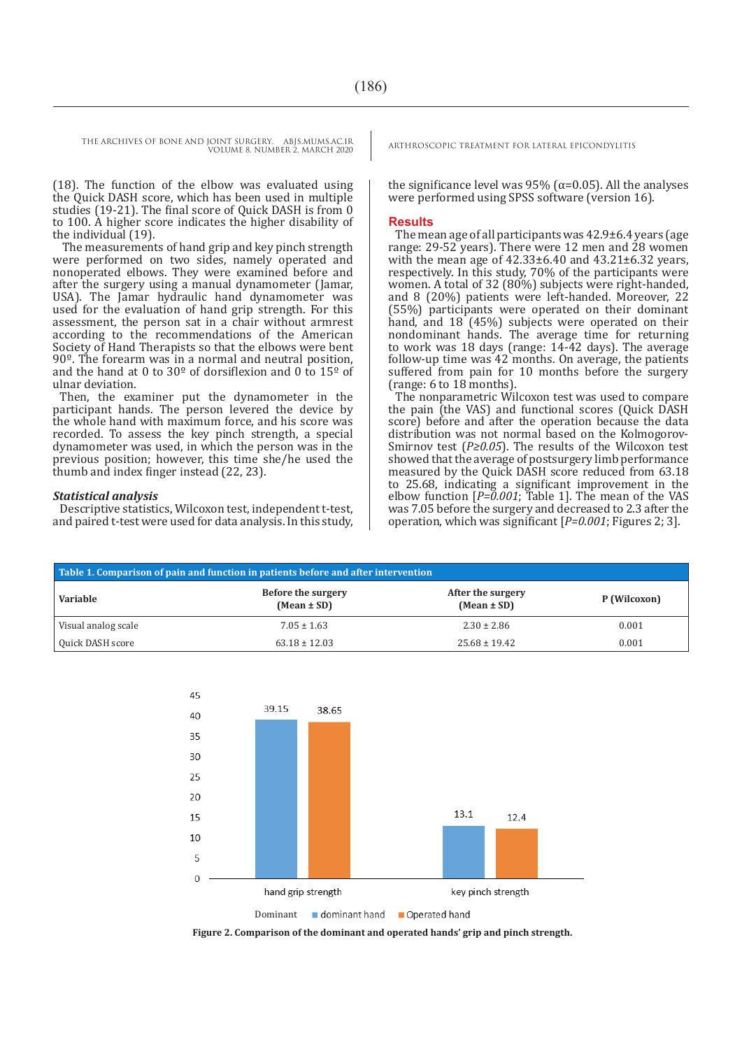THE ARCHIVES OF BONE AND JOINT SURGERY. ABJS.MUMS.AC.IR<br>VOUME 8 NUMBER 3 MARCH 2020 VOLUME 8. NUMBER 2. MARCH 2020

(18). The function of the elbow was evaluated using the Quick DASH score, which has been used in multiple studies (19-21). The final score of Quick DASH is from 0 to 100. A higher score indicates the higher disability of the individual (19).

 The measurements of hand grip and key pinch strength were performed on two sides, namely operated and nonoperated elbows. They were examined before and after the surgery using a manual dynamometer (Jamar, USA). The Jamar hydraulic hand dynamometer was used for the evaluation of hand grip strength. For this assessment, the person sat in a chair without armrest according to the recommendations of the American Society of Hand Therapists so that the elbows were bent 90º. The forearm was in a normal and neutral position, and the hand at 0 to  $30^{\circ}$  of dorsiflexion and 0 to  $15^{\circ}$  of ulnar deviation.

Then, the examiner put the dynamometer in the participant hands. The person levered the device by the whole hand with maximum force, and his score was recorded. To assess the key pinch strength, a special dynamometer was used, in which the person was in the previous position; however, this time she/he used the thumb and index finger instead (22, 23).

#### *Statistical analysis*

Descriptive statistics, Wilcoxon test, independent t-test, and paired t-test were used for data analysis. In this study,

the significance level was 95% ( $α=0.05$ ). All the analyses were performed using SPSS software (version 16).

#### **Results**

The mean age of all participants was 42.9±6.4 years (age range: 29-52 years). There were 12 men and 28 women with the mean age of 42.33±6.40 and 43.21±6.32 years, respectively. In this study, 70% of the participants were women. A total of 32 (80%) subjects were right-handed, and 8 (20%) patients were left-handed. Moreover, 22 (55%) participants were operated on their dominant hand, and 18 (45%) subjects were operated on their nondominant hands. The average time for returning to work was 18 days (range: 14-42 days). The average follow-up time was 42 months. On average, the patients suffered from pain for 10 months before the surgery (range: 6 to 18 months).

The nonparametric Wilcoxon test was used to compare the pain (the VAS) and functional scores (Quick DASH score) before and after the operation because the data distribution was not normal based on the Kolmogorov-Smirnov test (*P≥0.05*). The results of the Wilcoxon test showed that the average of postsurgery limb performance measured by the Quick DASH score reduced from 63.18 to 25.68, indicating a significant improvement in the elbow function [*P=0.001*; Table 1]. The mean of the VAS was 7.05 before the surgery and decreased to 2.3 after the operation, which was significant [*P=0.001*; Figures 2; 3].

| Table 1. Comparison of pain and function in patients before and after intervention |                                       |                                      |              |  |
|------------------------------------------------------------------------------------|---------------------------------------|--------------------------------------|--------------|--|
| Variable                                                                           | Before the surgery<br>$(Mean \pm SD)$ | After the surgery<br>$(Mean \pm SD)$ | P (Wilcoxon) |  |
| Visual analog scale                                                                | $7.05 \pm 1.63$                       | $2.30 \pm 2.86$                      | 0.001        |  |
| Quick DASH score                                                                   | $63.18 \pm 12.03$                     | $25.68 \pm 19.42$                    | 0.001        |  |



**Figure 2. Comparison of the dominant and operated hands' grip and pinch strength.**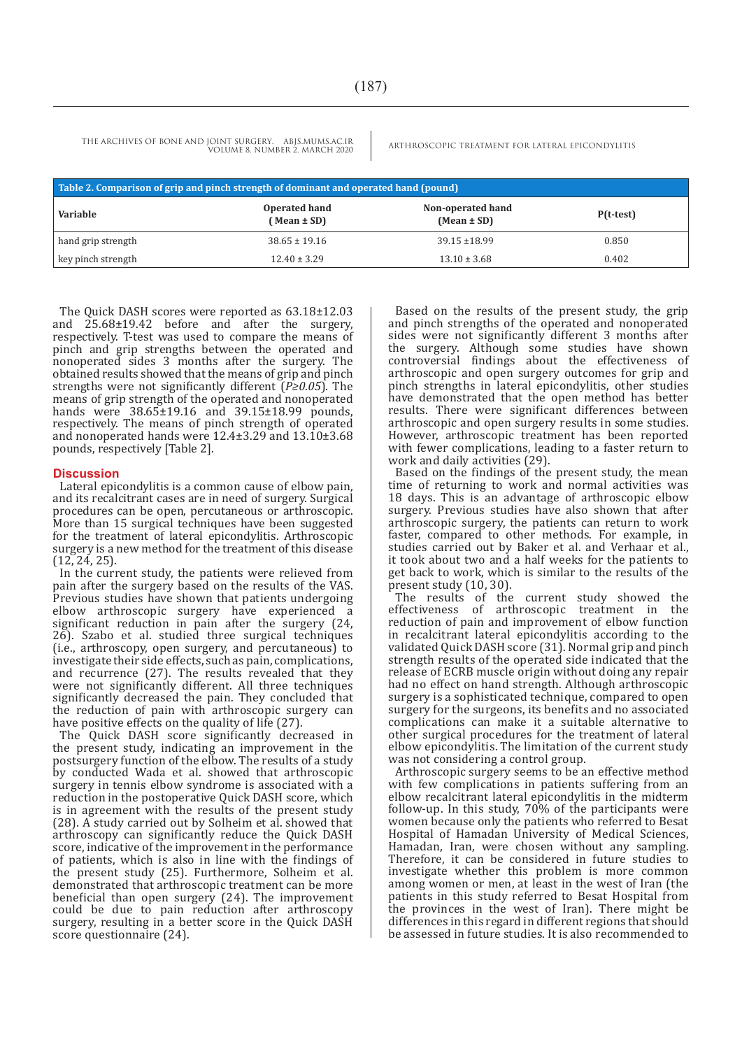THE ARCHIVES OF BONE AND JOINT SURGERY. ABJS.MUMS.AC.IR ARTHROSCOPIC TREATMENT FOR LATERAL EPICONDYLITIS VOLUME 8. NUMBER 2. MARCH 2020

| Table 2. Comparison of grip and pinch strength of dominant and operated hand (pound) |                                  |                                      |             |  |
|--------------------------------------------------------------------------------------|----------------------------------|--------------------------------------|-------------|--|
| Variable                                                                             | Operated hand<br>$(Mean \pm SD)$ | Non-operated hand<br>$(Mean \pm SD)$ | $P(t-test)$ |  |
| hand grip strength                                                                   | $38.65 \pm 19.16$                | $39.15 \pm 18.99$                    | 0.850       |  |
| key pinch strength                                                                   | $12.40 \pm 3.29$                 | $13.10 \pm 3.68$                     | 0.402       |  |

The Quick DASH scores were reported as 63.18±12.03 and 25.68±19.42 before and after the surgery, respectively. T-test was used to compare the means of pinch and grip strengths between the operated and nonoperated sides 3 months after the surgery. The obtained results showed that the means of grip and pinch strengths were not significantly different (*P≥0.05*). The means of grip strength of the operated and nonoperated hands were 38.65±19.16 and 39.15±18.99 pounds, respectively. The means of pinch strength of operated and nonoperated hands were 12.4±3.29 and 13.10±3.68 pounds, respectively [Table 2].

#### **Discussion**

Lateral epicondylitis is a common cause of elbow pain, and its recalcitrant cases are in need of surgery. Surgical procedures can be open, percutaneous or arthroscopic. More than 15 surgical techniques have been suggested for the treatment of lateral epicondylitis. Arthroscopic surgery is a new method for the treatment of this disease (12, 24, 25).

In the current study, the patients were relieved from pain after the surgery based on the results of the VAS. Previous studies have shown that patients undergoing elbow arthroscopic surgery have experienced a significant reduction in pain after the surgery (24, 26). Szabo et al. studied three surgical techniques (i.e., arthroscopy, open surgery, and percutaneous) to investigate their side effects, such as pain, complications, and recurrence (27). The results revealed that they were not significantly different. All three techniques significantly decreased the pain. They concluded that the reduction of pain with arthroscopic surgery can have positive effects on the quality of life (27).

The Quick DASH score significantly decreased in the present study, indicating an improvement in the postsurgery function of the elbow. The results of a study by conducted Wada et al. showed that arthroscopic surgery in tennis elbow syndrome is associated with a reduction in the postoperative Quick DASH score, which is in agreement with the results of the present study (28). A study carried out by Solheim et al. showed that arthroscopy can significantly reduce the Quick DASH score, indicative of the improvement in the performance of patients, which is also in line with the findings of the present study (25). Furthermore, Solheim et al. demonstrated that arthroscopic treatment can be more beneficial than open surgery (24). The improvement could be due to pain reduction after arthroscopy surgery, resulting in a better score in the Quick DASH score questionnaire (24).

Based on the results of the present study, the grip and pinch strengths of the operated and nonoperated sides were not significantly different 3 months after the surgery. Although some studies have shown controversial findings about the effectiveness of arthroscopic and open surgery outcomes for grip and pinch strengths in lateral epicondylitis, other studies have demonstrated that the open method has better results. There were significant differences between arthroscopic and open surgery results in some studies. However, arthroscopic treatment has been reported with fewer complications, leading to a faster return to work and daily activities (29).

Based on the findings of the present study, the mean time of returning to work and normal activities was 18 days. This is an advantage of arthroscopic elbow surgery. Previous studies have also shown that after arthroscopic surgery, the patients can return to work faster, compared to other methods. For example, in studies carried out by Baker et al. and Verhaar et al., it took about two and a half weeks for the patients to get back to work, which is similar to the results of the present study (10, 30).

The results of the current study showed the effectiveness of arthroscopic treatment in the reduction of pain and improvement of elbow function in recalcitrant lateral epicondylitis according to the validated Quick DASH score (31). Normal grip and pinch strength results of the operated side indicated that the release of ECRB muscle origin without doing any repair had no effect on hand strength. Although arthroscopic surgery is a sophisticated technique, compared to open surgery for the surgeons, its benefits and no associated complications can make it a suitable alternative to other surgical procedures for the treatment of lateral elbow epicondylitis. The limitation of the current study was not considering a control group.

Arthroscopic surgery seems to be an effective method with few complications in patients suffering from an elbow recalcitrant lateral epicondylitis in the midterm follow-up. In this study, 70% of the participants were women because only the patients who referred to Besat Hospital of Hamadan University of Medical Sciences, Hamadan, Iran, were chosen without any sampling. Therefore, it can be considered in future studies to investigate whether this problem is more common among women or men, at least in the west of Iran (the patients in this study referred to Besat Hospital from the provinces in the west of Iran). There might be differences in this regard in different regions that should be assessed in future studies. It is also recommended to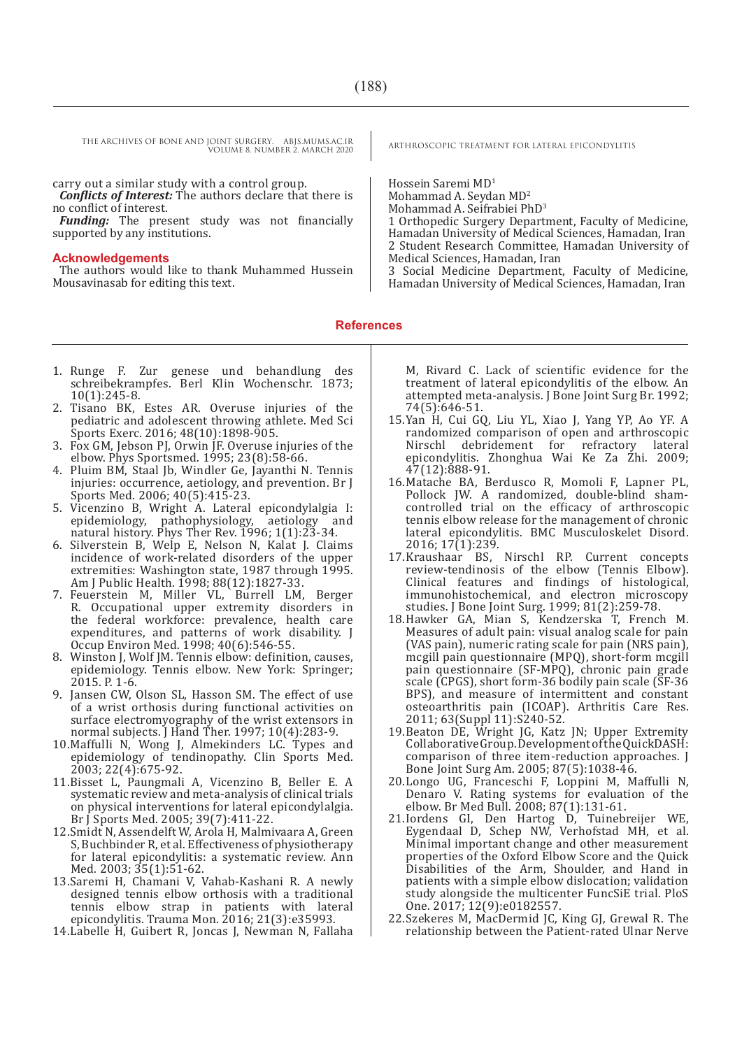THE ARCHIVES OF BONE AND JOINT SURGERY. ABJS.MUMS.AC.IR ARTHROSCOPIC TREATMENT FOR LATERAL EPICONDYLITIS VOLUME 8. NUMBER 2. MARCH 2020

carry out a similar study with a control group. *Conflicts of Interest:* The authors declare that there is

no conflict of interest. *Funding:* The present study was not financially

supported by any institutions.

#### **Acknowledgements**

The authors would like to thank Muhammed Hussein Mousavinasab for editing this text.

Hossein Saremi MD1

Mohammad A. Seydan MD<sup>2</sup>

Mohammad A. Seifrabiei PhD3

1 Orthopedic Surgery Department, Faculty of Medicine, Hamadan University of Medical Sciences, Hamadan, Iran 2 Student Research Committee, Hamadan University of Medical Sciences, Hamadan, Iran

3 Social Medicine Department, Faculty of Medicine, Hamadan University of Medical Sciences, Hamadan, Iran

**References**

- 1. Runge F. Zur genese und behandlung des schreibekrampfes. Berl Klin Wochenschr. 1873; 10(1):245-8.
- 2. Tisano BK, Estes AR. Overuse injuries of the pediatric and adolescent throwing athlete. Med Sci Sports Exerc. 2016; 48(10):1898-905.
- 3. Fox GM, Jebson PJ, Orwin JF. Overuse injuries of the elbow. Phys Sportsmed. 1995; 23(8):58-66.
- 4. Pluim BM, Staal Jb, Windler Ge, Jayanthi N. Tennis injuries: occurrence, aetiology, and prevention. Br J Sports Med. 2006; 40(5):415-23.
- 5. Vicenzino B, Wright A. Lateral epicondylalgia I: epidemiology, pathophysiology, aetiology and natural history. Phys Ther Rev. 1996; 1(1):23-34.
- 6. Silverstein B, Welp E, Nelson N, Kalat J. Claims incidence of work-related disorders of the upper extremities: Washington state, 1987 through 1995. Am J Public Health. 1998; 88(12):1827-33.
- 7. Feuerstein M, Miller VL, Burrell LM, Berger R. Occupational upper extremity disorders in the federal workforce: prevalence, health care expenditures, and patterns of work disability. J Occup Environ Med. 1998; 40(6):546-55.
- 8. Winston J, Wolf JM. Tennis elbow: definition, causes, epidemiology. Tennis elbow. New York: Springer; 2015. P. 1-6.
- 9. Jansen CW, Olson SL, Hasson SM. The effect of use of a wrist orthosis during functional activities on surface electromyography of the wrist extensors in normal subjects. J Hand Ther. 1997; 10(4):283-9.
- 10.Maffulli N, Wong J, Almekinders LC. Types and epidemiology of tendinopathy. Clin Sports Med. 2003; 22(4):675-92.
- 11.Bisset L, Paungmali A, Vicenzino B, Beller E. A systematic review and meta-analysis of clinical trials on physical interventions for lateral epicondylalgia. Br J Sports Med. 2005; 39(7):411-22.
- 12.Smidt N, Assendelft W, Arola H, Malmivaara A, Green S, Buchbinder R, et al. Effectiveness of physiotherapy for lateral epicondylitis: a systematic review. Ann Med. 2003; 35(1):51-62.
- 13.Saremi H, Chamani V, Vahab-Kashani R. A newly designed tennis elbow orthosis with a traditional tennis elbow strap in patients with lateral epicondylitis. Trauma Mon. 2016; 21(3):e35993.
- 14.Labelle H, Guibert R, Joncas J, Newman N, Fallaha

M, Rivard C. Lack of scientific evidence for the treatment of lateral epicondylitis of the elbow. An attempted meta-analysis. J Bone Joint Surg Br. 1992; 74(5):646-51.

- 15.Yan H, Cui GQ, Liu YL, Xiao J, Yang YP, Ao YF. A randomized comparison of open and arthroscopic debridement for refractory lateral epicondylitis. Zhonghua Wai Ke Za Zhi. 2009; 47(12):888-91.
- 16.Matache BA, Berdusco R, Momoli F, Lapner PL, Pollock JW. A randomized, double-blind shamcontrolled trial on the efficacy of arthroscopic tennis elbow release for the management of chronic lateral epicondylitis. BMC Musculoskelet Disord. 2016; 17(1):239.
- 17.Kraushaar BS, Nirschl RP. Current concepts review-tendinosis of the elbow (Tennis Elbow). Clinical features and findings of histological, immunohistochemical, and electron microscopy studies. J Bone Joint Surg. 1999; 81(2):259-78.
- 18.Hawker GA, Mian S, Kendzerska T, French M. Measures of adult pain: visual analog scale for pain (VAS pain), numeric rating scale for pain (NRS pain), mcgill pain questionnaire (MPQ), short-form mcgill pain questionnaire (SF-MPQ), chronic pain grade scale (CPGS), short form-36 bodily pain scale (SF-36 BPS), and measure of intermittent and constant osteoarthritis pain (ICOAP). Arthritis Care Res. 2011; 63(Suppl 11):S240-52.
- 19.Beaton DE, Wright JG, Katz JN; Upper Extremity Collaborative Group. Development of the QuickDASH: comparison of three item-reduction approaches. J Bone Joint Surg Am. 2005; 87(5):1038-46.
- 20.Longo UG, Franceschi F, Loppini M, Maffulli N, Denaro V. Rating systems for evaluation of the elbow. Br Med Bull. 2008; 87(1):131-61.
- 21.Iordens GI, Den Hartog D, Tuinebreijer WE, Eygendaal D, Schep NW, Verhofstad MH, et al. Minimal important change and other measurement properties of the Oxford Elbow Score and the Quick Disabilities of the Arm, Shoulder, and Hand in patients with a simple elbow dislocation; validation study alongside the multicenter FuncSiE trial. PloS One. 2017; 12(9):e0182557.
- 22.Szekeres M, MacDermid JC, King GJ, Grewal R. The relationship between the Patient-rated Ulnar Nerve